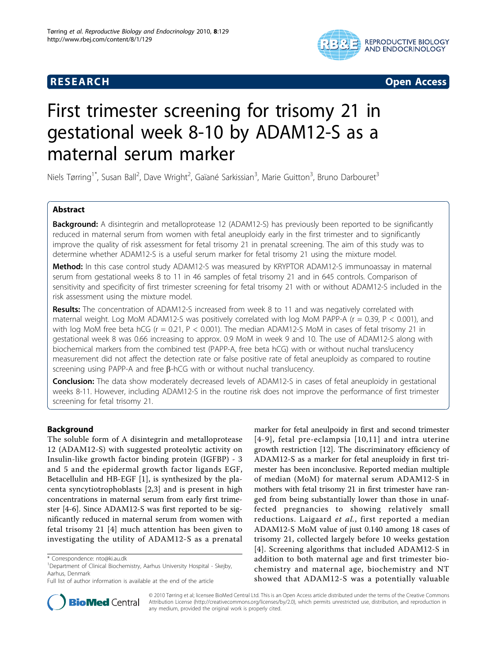# **RESEARCH Open Access**



# First trimester screening for trisomy 21 in gestational week 8-10 by ADAM12-S as a maternal serum marker

Niels Tørring<sup>1\*</sup>, Susan Ball<sup>2</sup>, Dave Wright<sup>2</sup>, Gaïané Sarkissian<sup>3</sup>, Marie Guitton<sup>3</sup>, Bruno Darbouret<sup>3</sup>

# Abstract

**Background:** A disintegrin and metalloprotease 12 (ADAM12-S) has previously been reported to be significantly reduced in maternal serum from women with fetal aneuploidy early in the first trimester and to significantly improve the quality of risk assessment for fetal trisomy 21 in prenatal screening. The aim of this study was to determine whether ADAM12-S is a useful serum marker for fetal trisomy 21 using the mixture model.

Method: In this case control study ADAM12-S was measured by KRYPTOR ADAM12-S immunoassay in maternal serum from gestational weeks 8 to 11 in 46 samples of fetal trisomy 21 and in 645 controls. Comparison of sensitivity and specificity of first trimester screening for fetal trisomy 21 with or without ADAM12-S included in the risk assessment using the mixture model.

Results: The concentration of ADAM12-S increased from week 8 to 11 and was negatively correlated with maternal weight. Log MoM ADAM12-S was positively correlated with log MoM PAPP-A ( $r = 0.39$ ,  $P < 0.001$ ), and with log MoM free beta hCG (r = 0.21, P < 0.001). The median ADAM12-S MoM in cases of fetal trisomy 21 in gestational week 8 was 0.66 increasing to approx. 0.9 MoM in week 9 and 10. The use of ADAM12-S along with biochemical markers from the combined test (PAPP-A, free beta hCG) with or without nuchal translucency measurement did not affect the detection rate or false positive rate of fetal aneuploidy as compared to routine screening using PAPP-A and free  $\beta$ -hCG with or without nuchal translucency.

**Conclusion:** The data show moderately decreased levels of ADAM12-S in cases of fetal aneuploidy in gestational weeks 8-11. However, including ADAM12-S in the routine risk does not improve the performance of first trimester screening for fetal trisomy 21.

# Background

The soluble form of A disintegrin and metalloprotease 12 (ADAM12-S) with suggested proteolytic activity on Insulin-like growth factor binding protein (IGFBP) - 3 and 5 and the epidermal growth factor ligands EGF, Betacellulin and HB-EGF [[1\]](#page-6-0), is synthesized by the placenta syncytiotrophoblasts [[2,3](#page-6-0)] and is present in high concentrations in maternal serum from early first trimester [\[4-6](#page-6-0)]. Since ADAM12-S was first reported to be significantly reduced in maternal serum from women with fetal trisomy 21 [[4](#page-6-0)] much attention has been given to investigating the utility of ADAM12-S as a prenatal

marker for fetal aneulpoidy in first and second trimester [[4-9](#page-6-0)], fetal pre-eclampsia [[10](#page-6-0),[11](#page-6-0)] and intra uterine growth restriction [\[12](#page-6-0)]. The discriminatory efficiency of ADAM12-S as a marker for fetal aneuploidy in first trimester has been inconclusive. Reported median multiple of median (MoM) for maternal serum ADAM12-S in mothers with fetal trisomy 21 in first trimester have ranged from being substantially lower than those in unaffected pregnancies to showing relatively small reductions. Laigaard et al., first reported a median ADAM12-S MoM value of just 0.140 among 18 cases of trisomy 21, collected largely before 10 weeks gestation [[4](#page-6-0)]. Screening algorithms that included ADAM12-S in addition to both maternal age and first trimester biochemistry and maternal age, biochemistry and NT showed that ADAM12-S was a potentially valuable



© 2010 Tørring et al; licensee BioMed Central Ltd. This is an Open Access article distributed under the terms of the Creative Commons Attribution License [\(http://creativecommons.org/licenses/by/2.0](http://creativecommons.org/licenses/by/2.0)), which permits unrestricted use, distribution, and reproduction in any medium, provided the original work is properly cited.

<sup>\*</sup> Correspondence: [nto@ki.au.dk](mailto:nto@ki.au.dk)

<sup>&</sup>lt;sup>1</sup>Department of Clinical Biochemistry, Aarhus University Hospital - Skejby, Aarhus, Denmark

Full list of author information is available at the end of the article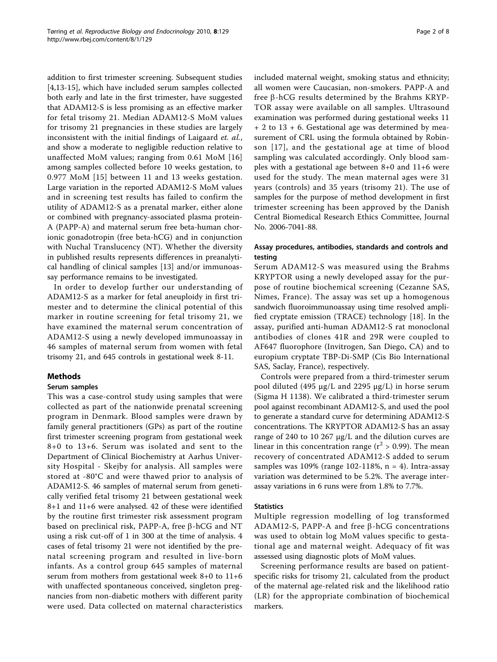addition to first trimester screening. Subsequent studies [[4,](#page-6-0)[13-15\]](#page-7-0), which have included serum samples collected both early and late in the first trimester, have suggested that ADAM12-S is less promising as an effective marker for fetal trisomy 21. Median ADAM12-S MoM values for trisomy 21 pregnancies in these studies are largely inconsistent with the initial findings of Laigaard et. al., and show a moderate to negligible reduction relative to unaffected MoM values; ranging from 0.61 MoM [[16](#page-7-0)] among samples collected before 10 weeks gestation, to 0.977 MoM [[15](#page-7-0)] between 11 and 13 weeks gestation. Large variation in the reported ADAM12-S MoM values and in screening test results has failed to confirm the utility of ADAM12-S as a prenatal marker, either alone or combined with pregnancy-associated plasma protein-A (PAPP-A) and maternal serum free beta-human chorionic gonadotropin (free beta-hCG) and in conjunction with Nuchal Translucency (NT). Whether the diversity in published results represents differences in preanalytical handling of clinical samples [\[13](#page-7-0)] and/or immunoassay performance remains to be investigated.

In order to develop further our understanding of ADAM12-S as a marker for fetal aneuploidy in first trimester and to determine the clinical potential of this marker in routine screening for fetal trisomy 21, we have examined the maternal serum concentration of ADAM12-S using a newly developed immunoassay in 46 samples of maternal serum from women with fetal trisomy 21, and 645 controls in gestational week 8-11.

# Methods

#### Serum samples

This was a case-control study using samples that were collected as part of the nationwide prenatal screening program in Denmark. Blood samples were drawn by family general practitioners (GPs) as part of the routine first trimester screening program from gestational week 8+0 to 13+6. Serum was isolated and sent to the Department of Clinical Biochemistry at Aarhus University Hospital - Skejby for analysis. All samples were stored at -80°C and were thawed prior to analysis of ADAM12-S. 46 samples of maternal serum from genetically verified fetal trisomy 21 between gestational week 8+1 and 11+6 were analysed. 42 of these were identified by the routine first trimester risk assessment program based on preclinical risk, PAPP-A, free  $\beta$ -hCG and NT using a risk cut-off of 1 in 300 at the time of analysis. 4 cases of fetal trisomy 21 were not identified by the prenatal screening program and resulted in live-born infants. As a control group 645 samples of maternal serum from mothers from gestational week 8+0 to 11+6 with unaffected spontaneous conceived, singleton pregnancies from non-diabetic mothers with different parity were used. Data collected on maternal characteristics included maternal weight, smoking status and ethnicity; all women were Caucasian, non-smokers. PAPP-A and free  $\beta$ -hCG results determined by the Brahms KRYP-TOR assay were available on all samples. Ultrasound examination was performed during gestational weeks 11 + 2 to 13 + 6. Gestational age was determined by measurement of CRL using the formula obtained by Robinson [[17](#page-7-0)], and the gestational age at time of blood sampling was calculated accordingly. Only blood samples with a gestational age between 8+0 and 11+6 were used for the study. The mean maternal ages were 31 years (controls) and 35 years (trisomy 21). The use of samples for the purpose of method development in first trimester screening has been approved by the Danish Central Biomedical Research Ethics Committee, Journal No. 2006-7041-88.

# Assay procedures, antibodies, standards and controls and testing

Serum ADAM12-S was measured using the Brahms KRYPTOR using a newly developed assay for the purpose of routine biochemical screening (Cezanne SAS, Nimes, France). The assay was set up a homogenous sandwich fluoroimmunoassay using time resolved amplified cryptate emission (TRACE) technology [\[18](#page-7-0)]. In the assay, purified anti-human ADAM12-S rat monoclonal antibodies of clones 41R and 29R were coupled to AF647 fluorophore (Invitrogen, San Diego, CA) and to europium cryptate TBP-Di-SMP (Cis Bio International SAS, Saclay, France), respectively.

Controls were prepared from a third-trimester serum pool diluted (495 μg/L and 2295 μg/L) in horse serum (Sigma H 1138). We calibrated a third-trimester serum pool against recombinant ADAM12-S, and used the pool to generate a standard curve for determining ADAM12-S concentrations. The KRYPTOR ADAM12-S has an assay range of 240 to 10 267 μg/L and the dilution curves are linear in this concentration range ( $r^2 > 0.99$ ). The mean recovery of concentrated ADAM12-S added to serum samples was  $109\%$  (range  $102-118\%$ , n = 4). Intra-assay variation was determined to be 5.2%. The average interassay variations in 6 runs were from 1.8% to 7.7%.

#### **Statistics**

Multiple regression modelling of log transformed ADAM12-S, PAPP-A and free  $\beta$ -hCG concentrations was used to obtain log MoM values specific to gestational age and maternal weight. Adequacy of fit was assessed using diagnostic plots of MoM values.

Screening performance results are based on patientspecific risks for trisomy 21, calculated from the product of the maternal age-related risk and the likelihood ratio (LR) for the appropriate combination of biochemical markers.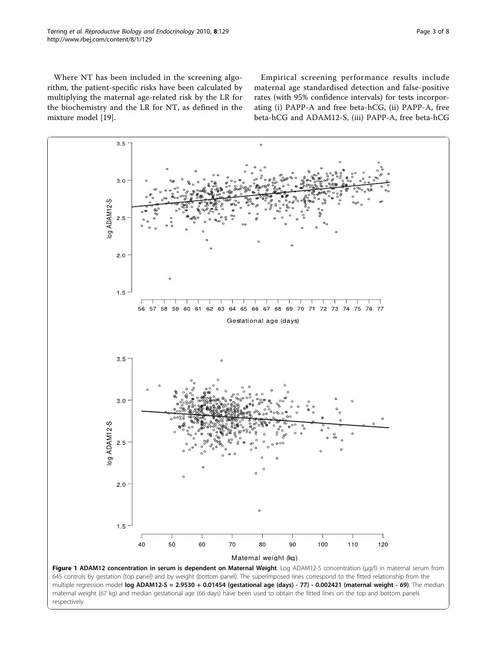<span id="page-2-0"></span>Where NT has been included in the screening algorithm, the patient-specific risks have been calculated by multiplying the maternal age-related risk by the LR for the biochemistry and the LR for NT, as defined in the mixture model [[19](#page-7-0)].

Empirical screening performance results include maternal age standardised detection and false-positive rates (with 95% confidence intervals) for tests incorporating (i) PAPP-A and free beta-hCG, (ii) PAPP-A, free beta-hCG and ADAM12-S, (iii) PAPP-A, free beta-hCG



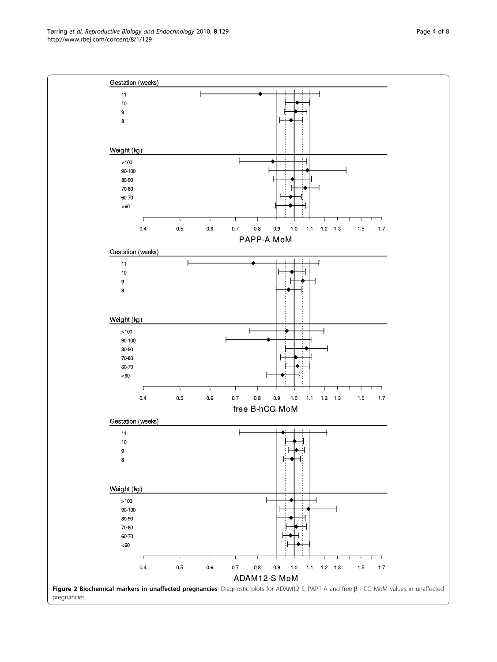<span id="page-3-0"></span>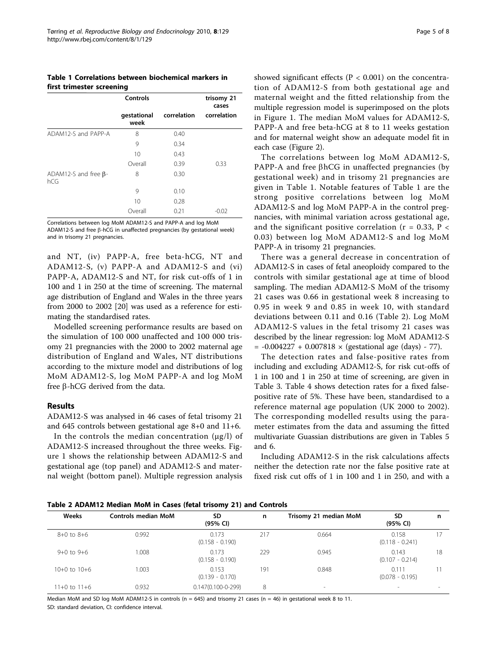Table 1 Correlations between biochemical markers in first trimester screening

|                                    | Controls            |             | trisomy 21<br>cases |
|------------------------------------|---------------------|-------------|---------------------|
|                                    | gestational<br>week | correlation | correlation         |
| ADAM12-S and PAPP-A                | 8                   | 0.40        |                     |
|                                    | 9                   | 0.34        |                     |
|                                    | 10                  | 0.43        |                     |
|                                    | Overall             | 0.39        | 0.33                |
| ADAM12-S and free $\beta$ -<br>hCG | 8                   | 0.30        |                     |
|                                    | 9                   | 0.10        |                     |
|                                    | 10                  | 0.28        |                     |
|                                    | Overall             | 0.21        | -0.02               |

Correlations between log MoM ADAM12-S and PAPP-A and log MoM ADAM12-S and free  $\beta$ -hCG in unaffected pregnancies (by gestational week) and in trisomy 21 pregnancies.

and NT, (iv) PAPP-A, free beta-hCG, NT and ADAM12-S, (v) PAPP-A and ADAM12-S and (vi) PAPP-A, ADAM12-S and NT, for risk cut-offs of 1 in 100 and 1 in 250 at the time of screening. The maternal age distribution of England and Wales in the three years from 2000 to 2002 [[20\]](#page-7-0) was used as a reference for estimating the standardised rates.

Modelled screening performance results are based on the simulation of 100 000 unaffected and 100 000 trisomy 21 pregnancies with the 2000 to 2002 maternal age distribution of England and Wales, NT distributions according to the mixture model and distributions of log MoM ADAM12-S, log MoM PAPP-A and log MoM free b-hCG derived from the data.

#### Results

ADAM12-S was analysed in 46 cases of fetal trisomy 21 and 645 controls between gestational age 8+0 and 11+6.

In the controls the median concentration  $(\mu g/l)$  of ADAM12-S increased throughout the three weeks. Figure [1](#page-2-0) shows the relationship between ADAM12-S and gestational age (top panel) and ADAM12-S and maternal weight (bottom panel). Multiple regression analysis

showed significant effects ( $P < 0.001$ ) on the concentration of ADAM12-S from both gestational age and maternal weight and the fitted relationship from the multiple regression model is superimposed on the plots in Figure [1](#page-2-0). The median MoM values for ADAM12-S, PAPP-A and free beta-hCG at 8 to 11 weeks gestation and for maternal weight show an adequate model fit in each case (Figure [2](#page-3-0)).

The correlations between log MoM ADAM12-S, PAPP-A and free  $\beta$ hCG in unaffected pregnancies (by gestational week) and in trisomy 21 pregnancies are given in Table 1. Notable features of Table 1 are the strong positive correlations between log MoM ADAM12-S and log MoM PAPP-A in the control pregnancies, with minimal variation across gestational age, and the significant positive correlation ( $r = 0.33$ ,  $P <$ 0.03) between log MoM ADAM12-S and log MoM PAPP-A in trisomy 21 pregnancies.

There was a general decrease in concentration of ADAM12-S in cases of fetal aneoploidy compared to the controls with similar gestational age at time of blood sampling. The median ADAM12-S MoM of the trisomy 21 cases was 0.66 in gestational week 8 increasing to 0.95 in week 9 and 0.85 in week 10, with standard deviations between 0.11 and 0.16 (Table 2). Log MoM ADAM12-S values in the fetal trisomy 21 cases was described by the linear regression: log MoM ADAM12-S  $= -0.004227 + 0.007818 \times (gestational age (days) - 77).$ 

The detection rates and false-positive rates from including and excluding ADAM12-S, for risk cut-offs of 1 in 100 and 1 in 250 at time of screening, are given in Table [3](#page-5-0). Table [4](#page-5-0) shows detection rates for a fixed falsepositive rate of 5%. These have been, standardised to a reference maternal age population (UK 2000 to 2002). The corresponding modelled results using the parameter estimates from the data and assuming the fitted multivariate Guassian distributions are given in Tables [5](#page-5-0) and [6.](#page-6-0)

Including ADAM12-S in the risk calculations affects neither the detection rate nor the false positive rate at fixed risk cut offs of 1 in 100 and 1 in 250, and with a

Table 2 ADAM12 Median MoM in Cases (fetal trisomy 21) and Controls

| Weeks            | <b>Controls median MoM</b> | <b>SD</b><br>(95% CI)      | n   | Trisomy 21 median MoM    | SD<br>(95% CI)             | n  |
|------------------|----------------------------|----------------------------|-----|--------------------------|----------------------------|----|
| $8+0$ to $8+6$   | 0.992                      | 0.173<br>$(0.158 - 0.190)$ | 217 | 0.664                    | 0.158<br>$(0.118 - 0.241)$ |    |
| $9+0$ to $9+6$   | .008                       | 0.173<br>$(0.158 - 0.190)$ | 229 | 0.945                    | 0.143<br>$(0.107 - 0.214)$ | 18 |
| $10+0$ to $10+6$ | 003                        | 0.153<br>$(0.139 - 0.170)$ | 191 | 0.848                    | 0.111<br>$(0.078 - 0.195)$ |    |
| 11+0 to 11+6     | 0.932                      | $0.147(0.100 - 0 - 299)$   | 8   | $\overline{\phantom{a}}$ | $\overline{\phantom{a}}$   |    |

Median MoM and SD log MoM ADAM12-S in controls ( $n = 645$ ) and trisomy 21 cases ( $n = 46$ ) in gestational week 8 to 11. SD: standard deviation, CI: confidence interval.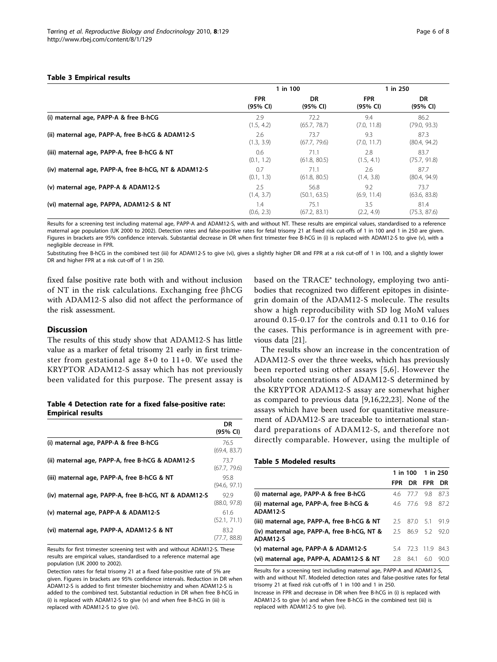<span id="page-5-0"></span>

|                                                      | 1 in 100   |              |             | 1 in 250     |
|------------------------------------------------------|------------|--------------|-------------|--------------|
|                                                      | <b>FPR</b> | <b>DR</b>    | <b>FPR</b>  | DR           |
|                                                      | (95% CI)   | (95% CI)     | (95% CI)    | (95% CI)     |
| (i) maternal age, PAPP-A & free B-hCG                | 2.9        | 72.2         | 9.4         | 86.2         |
|                                                      | (1.5, 4.2) | (65.7, 78.7) | (7.0, 11.8) | (79.0, 93.3) |
| (ii) maternal age, PAPP-A, free B-hCG & ADAM12-S     | 2.6        | 73.7         | 9.3         | 87.3         |
|                                                      | (1.3, 3.9) | (67.7, 79.6) | (7.0, 11.7) | (80.4, 94.2) |
| (iii) maternal age, PAPP-A, free B-hCG & NT          | 0.6        | 71.1         | 2.8         | 83.7         |
|                                                      | (0.1, 1.2) | (61.8, 80.5) | (1.5, 4.1)  | (75.7, 91.8) |
| (iv) maternal age, PAPP-A, free B-hCG, NT & ADAM12-S | 0.7        | 71.1         | 2.6         | 87.7         |
|                                                      | (0.1, 1.3) | (61.8, 80.5) | (1.4, 3.8)  | (80.4, 94.9) |
| (v) maternal age, PAPP-A & ADAM12-S                  | 2.5        | 56.8         | 9.2         | 73.7         |
|                                                      | (1.4, 3.7) | (50.1, 63.5) | (6.9, 11.4) | (63.6, 83.8) |
| (vi) maternal age, PAPPA, ADAM12-S & NT              | 1.4        | 75.1         | 3.5         | 81.4         |
|                                                      | (0.6, 2.3) | (67.2, 83.1) | (2.2, 4.9)  | (75.3, 87.6) |

Results for a screening test including maternal age, PAPP-A and ADAM12-S, with and without NT. These results are empirical values, standardised to a reference maternal age population (UK 2000 to 2002). Detection rates and false-positive rates for fetal trisomy 21 at fixed risk cut-offs of 1 in 100 and 1 in 250 are given. Figures in brackets are 95% confidence intervals. Substantial decrease in DR when first trimester free B-hCG in (i) is replaced with ADAM12-S to give (v), with a negligible decrease in FPR.

Substituting free B-hCG in the combined test (iii) for ADAM12-S to give (vi), gives a slightly higher DR and FPR at a risk cut-off of 1 in 100, and a slightly lower DR and higher FPR at a risk cut-off of 1 in 250.

fixed false positive rate both with and without inclusion of NT in the risk calculations. Exchanging free  $\beta$ hCG with ADAM12-S also did not affect the performance of the risk assessment.

### **Discussion**

The results of this study show that ADAM12-S has little value as a marker of fetal trisomy 21 early in first trimester from gestational age 8+0 to 11+0. We used the KRYPTOR ADAM12-S assay which has not previously been validated for this purpose. The present assay is

#### Table 4 Detection rate for a fixed false-positive rate: Empirical results

|                                                      | DR<br>(95% CI)       |
|------------------------------------------------------|----------------------|
| (i) maternal age, PAPP-A & free B-hCG                | 76.5<br>(69.4, 83.7) |
| (ii) maternal age, PAPP-A, free B-hCG & ADAM12-S     | 737<br>(67.7, 79.6)  |
| (iii) maternal age, PAPP-A, free B-hCG & NT          | 95.8<br>(94.6, 97.1) |
| (iv) maternal age, PAPP-A, free B-hCG, NT & ADAM12-S | 929<br>(88.0, 97.8)  |
| (v) maternal age, PAPP-A & ADAM12-S                  | 61.6<br>(52.1, 71.1) |
| (vi) maternal age, PAPP-A, ADAM12-S & NT             | 83.2<br>(77.7, 88.8) |

Results for first trimester screening test with and without ADAM12-S. These results are empirical values, standardised to a reference maternal age population (UK 2000 to 2002).

Detection rates for fetal trisomy 21 at a fixed false-positive rate of 5% are given. Figures in brackets are 95% confidence intervals. Reduction in DR when ADAM12-S is added to first trimester biochemistry and when ADAM12-S is added to the combined test. Substantial reduction in DR when free B-hCG in (i) is replaced with ADAM12-S to give (v) and when free B-hCG in (iii) is replaced with ADAM12-S to give (vi).

based on the TRACE® technology, employing two antibodies that recognized two different epitopes in disintegrin domain of the ADAM12-S molecule. The results show a high reproducibility with SD log MoM values around 0.15-0.17 for the controls and 0.11 to 0.16 for the cases. This performance is in agreement with previous data [[21](#page-7-0)].

The results show an increase in the concentration of ADAM12-S over the three weeks, which has previously been reported using other assays [\[5,6](#page-6-0)]. However the absolute concentrations of ADAM12-S determined by the KRYPTOR ADAM12-S assay are somewhat higher as compared to previous data [[9,](#page-6-0)[16,22](#page-7-0),[23\]](#page-7-0). None of the assays which have been used for quantitative measurement of ADAM12-S are traceable to international standard preparations of ADAM12-S, and therefore not directly comparable. However, using the multiple of

#### Table 5 Modeled results

|            |      |                 | 1 in 100 1 in 250                 |  |
|------------|------|-----------------|-----------------------------------|--|
| <b>FPR</b> | DR   | <b>FPR</b>      | DR                                |  |
|            |      | -9.8            | 87.3                              |  |
|            |      | 9.8             | 87.2                              |  |
| 25.        | 87.0 | 51              | 919                               |  |
|            |      |                 | 92 O                              |  |
| 54         |      |                 | 84.3                              |  |
| 28         | 84.1 | 6.0             | 90.0                              |  |
|            |      | 4.6 77.7<br>25. | 4.6 77.6<br>86.9 5.2<br>72.3 11.9 |  |

Results for a screening test including maternal age, PAPP-A and ADAM12-S, with and without NT. Modeled detection rates and false-positive rates for fetal trisomy 21 at fixed risk cut-offs of 1 in 100 and 1 in 250.

Increase in FPR and decrease in DR when free B-hCG in (i) is replaced with ADAM12-S to give (v) and when free B-hCG in the combined test (iii) is replaced with ADAM12-S to give (vi).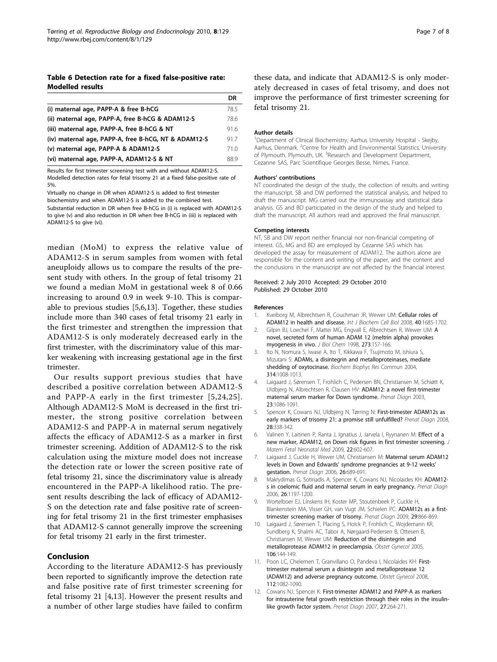#### <span id="page-6-0"></span>Table 6 Detection rate for a fixed false-positive rate: Modelled results

|                                                      | DR   |
|------------------------------------------------------|------|
| (i) maternal age, PAPP-A & free B-hCG                | 78.5 |
| (ii) maternal age, PAPP-A, free B-hCG & ADAM12-S     | 78.6 |
| (iii) maternal age, PAPP-A, free B-hCG & NT          | 91.6 |
| (iv) maternal age, PAPP-A, free B-hCG, NT & ADAM12-S | 91.7 |
| (v) maternal age, PAPP-A & ADAM12-S                  | 71.0 |
| (vi) maternal age, PAPP-A, ADAM12-S & NT             | 889  |

Results for first trimester screening test with and without ADAM12-S. Modelled detection rates for fetal trisomy 21 at a fixed false-positive rate of 5%.

Virtually no change in DR when ADAM12-S is added to first trimester biochemistry and when ADAM12-S is added to the combined test. Substantial reduction in DR when free B-hCG in (i) is replaced with ADAM12-S to give (v) and also reduction in DR when free B-hCG in (iii) is replaced with ADAM12-S to give (vi).

median (MoM) to express the relative value of ADAM12-S in serum samples from women with fetal aneuploidy allows us to compare the results of the present study with others. In the group of fetal trisomy 21 we found a median MoM in gestational week 8 of 0.66 increasing to around 0.9 in week 9-10. This is comparable to previous studies [5,6,[13\]](#page-7-0). Together, these studies include more than 340 cases of fetal trisomy 21 early in the first trimester and strengthen the impression that ADAM12-S is only moderately decreased early in the first trimester, with the discriminatory value of this marker weakening with increasing gestational age in the first trimester.

Our results support previous studies that have described a positive correlation between ADAM12-S and PAPP-A early in the first trimester [5,[24](#page-7-0),[25\]](#page-7-0). Although ADAM12-S MoM is decreased in the first trimester, the strong positive correlation between ADAM12-S and PAPP-A in maternal serum negatively affects the efficacy of ADAM12-S as a marker in first trimester screening. Addition of ADAM12-S to the risk calculation using the mixture model does not increase the detection rate or lower the screen positive rate of fetal trisomy 21, since the discriminatory value is already encountered in the PAPP-A likelihood ratio. The present results describing the lack of efficacy of ADAM12- S on the detection rate and false positive rate of screening for fetal trisomy 21 in the first trimester emphasises that ADAM12-S cannot generally improve the screening for fetal trisomy 21 early in the first trimester.

# Conclusion

According to the literature ADAM12-S has previously been reported to significantly improve the detection rate and false positive rate of first trimester screening for fetal trisomy 21 [4,[13\]](#page-7-0). However the present results and a number of other large studies have failed to confirm

these data, and indicate that ADAM12-S is only moderately decreased in cases of fetal trisomy, and does not improve the performance of first trimester screening for fetal trisomy 21.

#### Author details

<sup>1</sup>Department of Clinical Biochemistry, Aarhus University Hospital - Skejby, Aarhus, Denmark. <sup>2</sup> Centre for Health and Environmental Statistics, University of Plymouth, Plymouth, UK. <sup>3</sup>Research and Development Department, Cezanne SAS, Parc Scientifique Georges Besse, Nimes, France.

#### Authors' contributions

NT coordinated the design of the study, the collection of results and writing the manuscript. SB and DW performed the statistical analysis, and helped to draft the manuscript. MG carried out the immunoassay and statistical data analysis. GS and BD participated in the design of the study and helped to draft the manuscript. All authors read and approved the final manuscript.

#### Competing interests

NT, SB and DW report neither financial nor non-financial competing of interest. GS, MG and BD are employed by Cezanne SAS which has developed the assay for measurement of ADAM12. The authors alone are responsible for the content and writing of the paper, and the content and the conclusions in the manuscript are not affected by the financial interest.

#### Received: 2 July 2010 Accepted: 29 October 2010 Published: 29 October 2010

#### References

- Kveiborg M, Albrechtsen R, Couchman JR, Wewer UM: [Cellular roles of](http://www.ncbi.nlm.nih.gov/pubmed/18342566?dopt=Abstract) [ADAM12 in health and disease.](http://www.ncbi.nlm.nih.gov/pubmed/18342566?dopt=Abstract) Int J Biochem Cell Biol 2008, 40:1685-1702.
- 2. Gilpin BJ, Loechel F, Mattei MG, Engvall E, Albrechtsen R, Wewer UM: [A](http://www.ncbi.nlm.nih.gov/pubmed/9417060?dopt=Abstract) [novel, secreted form of human ADAM 12 \(meltrin alpha\) provokes](http://www.ncbi.nlm.nih.gov/pubmed/9417060?dopt=Abstract) [myogenesis in vivo.](http://www.ncbi.nlm.nih.gov/pubmed/9417060?dopt=Abstract) J Biol Chem 1998, 273:157-166.
- 3. Ito N, Nomura S, Iwase A, Ito T, Kikkawa F, Tsujimoto M, Ishiura S, Mizutani S: [ADAMs, a disintegrin and metalloproteinases, mediate](http://www.ncbi.nlm.nih.gov/pubmed/14751233?dopt=Abstract) [shedding of oxytocinase.](http://www.ncbi.nlm.nih.gov/pubmed/14751233?dopt=Abstract) Biochem Biophys Res Commun 2004, 314:1008-1013.
- 4. Laigaard J, Sørensen T, Frohlich C, Pedersen BN, Christiansen M, Schiøtt K, Uldbjerg N, Albrechtsen R, Clausen HV: [ADAM12: a novel first-trimester](http://www.ncbi.nlm.nih.gov/pubmed/14691998?dopt=Abstract) [maternal serum marker for Down syndrome.](http://www.ncbi.nlm.nih.gov/pubmed/14691998?dopt=Abstract) Prenat Diagn 2003, 23:1086-1091.
- Spencer K, Cowans NJ, Uldbjerg N, Tørring N: [First-trimester ADAM12s as](http://www.ncbi.nlm.nih.gov/pubmed/18382998?dopt=Abstract) [early markers of trisomy 21: a promise still unfulfilled?](http://www.ncbi.nlm.nih.gov/pubmed/18382998?dopt=Abstract) Prenat Diagn 2008, 28:338-342.
- Valinen Y, Laitinen P, Ranta J, Ignatius J, Jarvela I, Ryynanen M: [Effect of a](http://www.ncbi.nlm.nih.gov/pubmed/19736612?dopt=Abstract) [new marker, ADAM12, on Down risk figures in first trimester screening.](http://www.ncbi.nlm.nih.gov/pubmed/19736612?dopt=Abstract) J Matern Fetal Neonatal Med 2009, 22:602-607.
- 7. Laigaard J, Cuckle H, Wewer UM, Christiansen M: [Maternal serum ADAM12](http://www.ncbi.nlm.nih.gov/pubmed/16752438?dopt=Abstract) levels in Down and Edwards' [syndrome pregnancies at 9-12 weeks](http://www.ncbi.nlm.nih.gov/pubmed/16752438?dopt=Abstract)' [gestation.](http://www.ncbi.nlm.nih.gov/pubmed/16752438?dopt=Abstract) Prenat Diagn 2006, 26:689-691.
- 8. Makrydimas G, Sotiriadis A, Spencer K, Cowans NJ, Nicolaides KH: [ADAM12](http://www.ncbi.nlm.nih.gov/pubmed/17139693?dopt=Abstract) [s in coelomic fluid and maternal serum in early pregnancy.](http://www.ncbi.nlm.nih.gov/pubmed/17139693?dopt=Abstract) Prenat Diagn 2006, 26:1197-1200.
- 9. Wortelboer EJ, Linskens IH, Koster MP, Stoutenbeek P, Cuckle H, Blankenstein MA, Visser GH, van Vugt JM, Schielen PC: [ADAM12s as a first](http://www.ncbi.nlm.nih.gov/pubmed/19544290?dopt=Abstract)[trimester screening marker of trisomy.](http://www.ncbi.nlm.nih.gov/pubmed/19544290?dopt=Abstract) Prenat Diagn 2009, 29:866-869.
- 10. Laigaard J, Sørensen T, Placing S, Holck P, Frohlich C, Wojdemann KR, Sundberg K, Shalmi AC, Tabor A, Nørgaard-Pedersen B, Ottesen B, Christiansen M, Wewer UM: [Reduction of the disintegrin and](http://www.ncbi.nlm.nih.gov/pubmed/15994630?dopt=Abstract) [metalloprotease ADAM12 in preeclampsia.](http://www.ncbi.nlm.nih.gov/pubmed/15994630?dopt=Abstract) Obstet Gynecol 2005, 106:144-149.
- 11. Poon LC, Chelemen T, Granvillano O, Pandeva I, Nicolaides KH: [First](http://www.ncbi.nlm.nih.gov/pubmed/18978109?dopt=Abstract)[trimester maternal serum a disintegrin and metalloprotease 12](http://www.ncbi.nlm.nih.gov/pubmed/18978109?dopt=Abstract) [\(ADAM12\) and adverse pregnancy outcome.](http://www.ncbi.nlm.nih.gov/pubmed/18978109?dopt=Abstract) Obstet Gynecol 2008, 112:1082-1090.
- 12. Cowans NJ, Spencer K: [First-trimester ADAM12 and PAPP-A as markers](http://www.ncbi.nlm.nih.gov/pubmed/17278174?dopt=Abstract) [for intrauterine fetal growth restriction through their roles in the insulin](http://www.ncbi.nlm.nih.gov/pubmed/17278174?dopt=Abstract)[like growth factor system.](http://www.ncbi.nlm.nih.gov/pubmed/17278174?dopt=Abstract) Prenat Diagn 2007, 27:264-271.